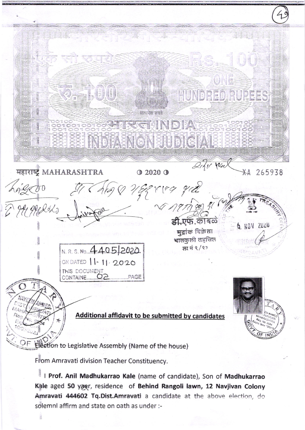UNG 2. 三、制制 HUNDRED RUDEES BERSER REAL BRIGHT STUDIG PAR Digir Wea महाराष्ट्र MAHARASHTRA  $Q2020Q$  $X$ 265938 Erreg gid He grades री एफ. कविले NOV ZUZU मद्रांक विक्रेता भातकुली तहसिल N. R. S. No. 4405/2020. छा नं ९/९३ ON DATED 11-11-2020 Additional affidavit to be submitted by candidates Election to Legislative Assembly (Name of the house)

From Amravati division Teacher Constituency.

I Prof. Anil Madhukarrao Kale (name of candidate), Son of Madhukarrao Kale aged 50 yaer, residence of Behind Rangoli lawn, 12 Navjivan Colony Amravati 444602 Tq.Dist.Amravati a candidate at the above election, do solemnl affirm and state on oath as under :-